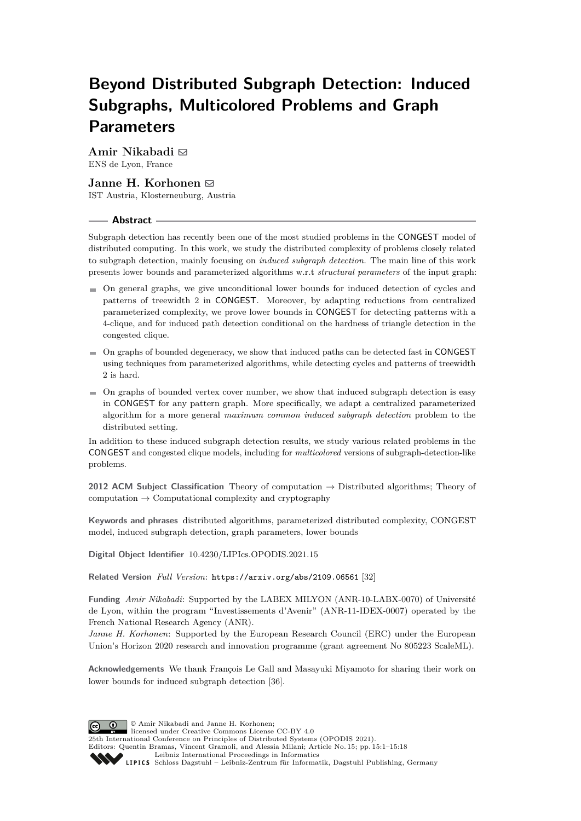# **Beyond Distributed Subgraph Detection: Induced Subgraphs, Multicolored Problems and Graph Parameters**

**Amir Nikabadi** ⊠ ENS de Lyon, France

# **Janne H. Korhonen** ⊠

IST Austria, Klosterneuburg, Austria

## **Abstract**

Subgraph detection has recently been one of the most studied problems in the CONGEST model of distributed computing. In this work, we study the distributed complexity of problems closely related to subgraph detection, mainly focusing on *induced subgraph detection*. The main line of this work presents lower bounds and parameterized algorithms w.r.t *structural parameters* of the input graph:

- On general graphs, we give unconditional lower bounds for induced detection of cycles and patterns of treewidth 2 in CONGEST. Moreover, by adapting reductions from centralized parameterized complexity, we prove lower bounds in CONGEST for detecting patterns with a 4-clique, and for induced path detection conditional on the hardness of triangle detection in the congested clique.
- On graphs of bounded degeneracy, we show that induced paths can be detected fast in CONGEST using techniques from parameterized algorithms, while detecting cycles and patterns of treewidth 2 is hard.
- $\blacksquare$  On graphs of bounded vertex cover number, we show that induced subgraph detection is easy in CONGEST for any pattern graph. More specifically, we adapt a centralized parameterized algorithm for a more general *maximum common induced subgraph detection* problem to the distributed setting.

In addition to these induced subgraph detection results, we study various related problems in the CONGEST and congested clique models, including for *multicolored* versions of subgraph-detection-like problems.

**2012 ACM Subject Classification** Theory of computation → Distributed algorithms; Theory of computation  $\rightarrow$  Computational complexity and cryptography

**Keywords and phrases** distributed algorithms, parameterized distributed complexity, CONGEST model, induced subgraph detection, graph parameters, lower bounds

**Digital Object Identifier** [10.4230/LIPIcs.OPODIS.2021.15](https://doi.org/10.4230/LIPIcs.OPODIS.2021.15)

**Related Version** *Full Version*: <https://arxiv.org/abs/2109.06561> [\[32\]](#page-16-0)

**Funding** *Amir Nikabadi*: Supported by the LABEX MILYON (ANR-10-LABX-0070) of Université de Lyon, within the program "Investissements d'Avenir" (ANR-11-IDEX-0007) operated by the French National Research Agency (ANR).

*Janne H. Korhonen*: Supported by the European Research Council (ERC) under the European Union's Horizon 2020 research and innovation programme (grant agreement No 805223 ScaleML).

**Acknowledgements** We thank François Le Gall and Masayuki Miyamoto for sharing their work on lower bounds for induced subgraph detection [\[36\]](#page-16-1).

© Amir Nikabadi and Janne H. Korhonen; licensed under Creative Commons License CC-BY 4.0 25th International Conference on Principles of Distributed Systems (OPODIS 2021). Editors: Quentin Bramas, Vincent Gramoli, and Alessia Milani; Article No. 15; pp. 15:1–15:18 [Leibniz International Proceedings in Informatics](https://www.dagstuhl.de/lipics/) SCHLOSS Dagstuhl – Leibniz-Zentrum für Informatik, Dagstuhl Publishing, Germany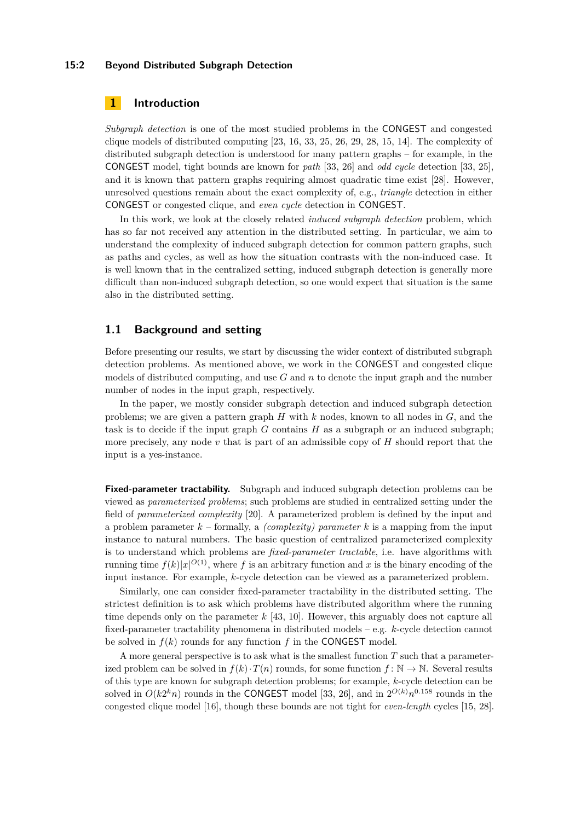#### **15:2 Beyond Distributed Subgraph Detection**

# **1 Introduction**

*Subgraph detection* is one of the most studied problems in the CONGEST and congested clique models of distributed computing [\[23,](#page-15-0) [16,](#page-15-1) [33,](#page-16-2) [25,](#page-15-2) [26,](#page-15-3) [29,](#page-15-4) [28,](#page-15-5) [15,](#page-15-6) [14\]](#page-15-7). The complexity of distributed subgraph detection is understood for many pattern graphs – for example, in the CONGEST model, tight bounds are known for *path* [\[33,](#page-16-2) [26\]](#page-15-3) and *odd cycle* detection [\[33,](#page-16-2) [25\]](#page-15-2), and it is known that pattern graphs requiring almost quadratic time exist [\[28\]](#page-15-5). However, unresolved questions remain about the exact complexity of, e.g., *triangle* detection in either CONGEST or congested clique, and *even cycle* detection in CONGEST.

In this work, we look at the closely related *induced subgraph detection* problem, which has so far not received any attention in the distributed setting. In particular, we aim to understand the complexity of induced subgraph detection for common pattern graphs, such as paths and cycles, as well as how the situation contrasts with the non-induced case. It is well known that in the centralized setting, induced subgraph detection is generally more difficult than non-induced subgraph detection, so one would expect that situation is the same also in the distributed setting.

# **1.1 Background and setting**

Before presenting our results, we start by discussing the wider context of distributed subgraph detection problems. As mentioned above, we work in the CONGEST and congested clique models of distributed computing, and use *G* and *n* to denote the input graph and the number number of nodes in the input graph, respectively.

In the paper, we mostly consider subgraph detection and induced subgraph detection problems; we are given a pattern graph *H* with *k* nodes, known to all nodes in *G*, and the task is to decide if the input graph  $G$  contains  $H$  as a subgraph or an induced subgraph; more precisely, any node *v* that is part of an admissible copy of *H* should report that the input is a yes-instance.

**Fixed-parameter tractability.** Subgraph and induced subgraph detection problems can be viewed as *parameterized problems*; such problems are studied in centralized setting under the field of *parameterized complexity* [\[20\]](#page-15-8). A parameterized problem is defined by the input and a problem parameter  $k$  – formally, a *(complexity) parameter*  $k$  is a mapping from the input instance to natural numbers. The basic question of centralized parameterized complexity is to understand which problems are *fixed-parameter tractable*, i.e. have algorithms with running time  $f(k)|x|^{O(1)}$ , where f is an arbitrary function and x is the binary encoding of the input instance. For example, *k*-cycle detection can be viewed as a parameterized problem.

Similarly, one can consider fixed-parameter tractability in the distributed setting. The strictest definition is to ask which problems have distributed algorithm where the running time depends only on the parameter *k* [\[43,](#page-16-3) [10\]](#page-14-0). However, this arguably does not capture all fixed-parameter tractability phenomena in distributed models – e.g. *k*-cycle detection cannot be solved in  $f(k)$  rounds for any function  $f$  in the CONGEST model.

A more general perspective is to ask what is the smallest function *T* such that a parameterized problem can be solved in  $f(k) \cdot T(n)$  rounds, for some function  $f: \mathbb{N} \to \mathbb{N}$ . Several results of this type are known for subgraph detection problems; for example, *k*-cycle detection can be solved in  $O(k2^k n)$  rounds in the CONGEST model [\[33,](#page-16-2) [26\]](#page-15-3), and in  $2^{O(k)}n^{0.158}$  rounds in the congested clique model [\[16\]](#page-15-1), though these bounds are not tight for *even-length* cycles [\[15,](#page-15-6) [28\]](#page-15-5).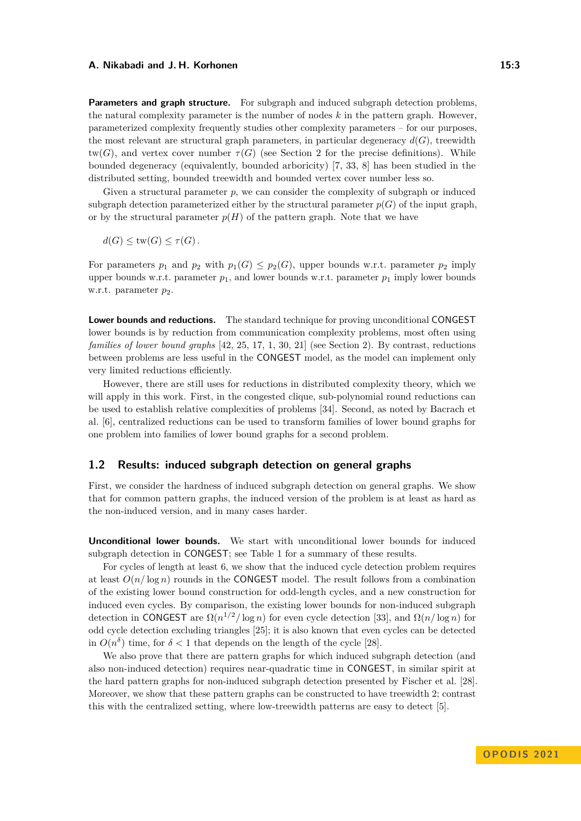**Parameters and graph structure.** For subgraph and induced subgraph detection problems, the natural complexity parameter is the number of nodes *k* in the pattern graph. However, parameterized complexity frequently studies other complexity parameters – for our purposes, the most relevant are structural graph parameters, in particular degeneracy  $d(G)$ , treewidth  $tw(G)$ , and vertex cover number  $\tau(G)$  (see Section [2](#page-6-0) for the precise definitions). While bounded degeneracy (equivalently, bounded arboricity) [\[7,](#page-14-1) [33,](#page-16-2) [8\]](#page-14-2) has been studied in the distributed setting, bounded treewidth and bounded vertex cover number less so.

Given a structural parameter *p*, we can consider the complexity of subgraph or induced subgraph detection parameterized either by the structural parameter  $p(G)$  of the input graph, or by the structural parameter  $p(H)$  of the pattern graph. Note that we have

 $d(G) \leq \text{tw}(G) \leq \tau(G)$ .

For parameters  $p_1$  and  $p_2$  with  $p_1(G) \leq p_2(G)$ , upper bounds w.r.t. parameter  $p_2$  imply upper bounds w.r.t. parameter  $p_1$ , and lower bounds w.r.t. parameter  $p_1$  imply lower bounds w.r.t. parameter  $p_2$ .

**Lower bounds and reductions.** The standard technique for proving unconditional CONGEST lower bounds is by reduction from communication complexity problems, most often using *families of lower bound graphs* [\[42,](#page-16-4) [25,](#page-15-2) [17,](#page-15-9) [1,](#page-14-3) [30,](#page-16-5) [21\]](#page-15-10) (see Section [2\)](#page-6-0). By contrast, reductions between problems are less useful in the CONGEST model, as the model can implement only very limited reductions efficiently.

However, there are still uses for reductions in distributed complexity theory, which we will apply in this work. First, in the congested clique, sub-polynomial round reductions can be used to establish relative complexities of problems [\[34\]](#page-16-6). Second, as noted by Bacrach et al. [\[6\]](#page-14-4), centralized reductions can be used to transform families of lower bound graphs for one problem into families of lower bound graphs for a second problem.

## **1.2 Results: induced subgraph detection on general graphs**

First, we consider the hardness of induced subgraph detection on general graphs. We show that for common pattern graphs, the induced version of the problem is at least as hard as the non-induced version, and in many cases harder.

**Unconditional lower bounds.** We start with unconditional lower bounds for induced subgraph detection in CONGEST; see Table [1](#page-3-0) for a summary of these results.

For cycles of length at least 6, we show that the induced cycle detection problem requires at least  $O(n/\log n)$  rounds in the CONGEST model. The result follows from a combination of the existing lower bound construction for odd-length cycles, and a new construction for induced even cycles. By comparison, the existing lower bounds for non-induced subgraph detection in CONGEST are  $\Omega(n^{1/2}/\log n)$  for even cycle detection [\[33\]](#page-16-2), and  $\Omega(n/\log n)$  for odd cycle detection excluding triangles [\[25\]](#page-15-2); it is also known that even cycles can be detected in  $O(n^{\delta})$  time, for  $\delta < 1$  that depends on the length of the cycle [\[28\]](#page-15-5).

We also prove that there are pattern graphs for which induced subgraph detection (and also non-induced detection) requires near-quadratic time in CONGEST, in similar spirit at the hard pattern graphs for non-induced subgraph detection presented by Fischer et al. [\[28\]](#page-15-5). Moreover, we show that these pattern graphs can be constructed to have treewidth 2; contrast this with the centralized setting, where low-treewidth patterns are easy to detect [\[5\]](#page-14-5).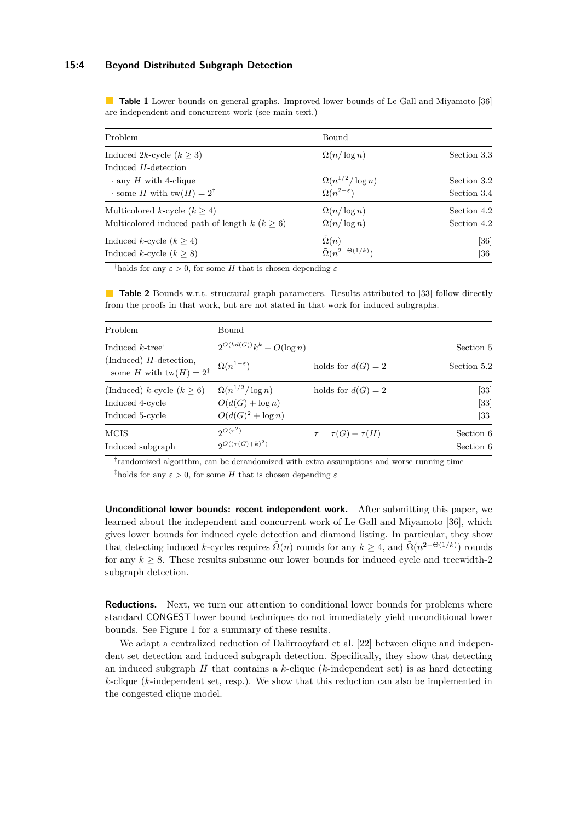#### **15:4 Beyond Distributed Subgraph Detection**

<span id="page-3-0"></span>**Table 1** Lower bounds on general graphs. Improved lower bounds of Le Gall and Miyamoto [\[36\]](#page-16-1) are independent and concurrent work (see main text.)

| Problem                                            | Bound                               |             |
|----------------------------------------------------|-------------------------------------|-------------|
| Induced 2k-cycle $(k > 3)$                         | $\Omega(n/\log n)$                  | Section 3.3 |
| Induced $H$ -detection                             |                                     |             |
| $\cdot$ any H with 4-clique                        | $\Omega(n^{1/2}/\log n)$            | Section 3.2 |
| $\cdot$ some H with $tw(H) = 2^{\dagger}$          | $\Omega(n^{2-\epsilon})$            | Section 3.4 |
| Multicolored k-cycle $(k > 4)$                     | $\Omega(n/\log n)$                  | Section 4.2 |
| Multicolored induced path of length $k (k \geq 6)$ | $\Omega(n/\log n)$                  | Section 4.2 |
| Induced k-cycle $(k \geq 4)$                       | $\Omega(n)$                         | [36]        |
| Induced k-cycle $(k \geq 8)$                       | $\tilde{\Omega}(n^{2-\Theta(1/k)})$ | [36]        |

<sup>†</sup>holds for any  $\varepsilon > 0$ , for some *H* that is chosen depending  $\varepsilon$ 

**Table 2** Bounds w.r.t. structural graph parameters. Results attributed to [\[33\]](#page-16-2) follow directly from the proofs in that work, but are not stated in that work for induced subgraphs.

| Problem                                                         | Bound                         |                            |                   |
|-----------------------------------------------------------------|-------------------------------|----------------------------|-------------------|
| Induced $k$ -tree <sup>†</sup>                                  | $2^{O(kd(G))}k^k + O(\log n)$ |                            | Section 5         |
| (Induced) $H$ -detection,<br>some H with $tw(H) = 2^{\ddagger}$ | $\Omega(n^{1-\varepsilon})$   | holds for $d(G) = 2$       | Section 5.2       |
| (Induced) k-cycle $(k > 6)$                                     | $\Omega(n^{1/2}/\log n)$      | holds for $d(G) = 2$       | $\left[33\right]$ |
| Induced 4-cycle                                                 | $O(d(G) + \log n)$            |                            | $[33]$            |
| Induced 5-cycle                                                 | $O(d(G)^2 + \log n)$          |                            | [33]              |
| <b>MCIS</b>                                                     | $2^{O(\tau^2)}$               | $\tau = \tau(G) + \tau(H)$ | Section 6         |
| Induced subgraph                                                | $QO((\tau(G)+k)^2)$           |                            | Section 6         |

† randomized algorithm, can be derandomized with extra assumptions and worse running time <sup>‡</sup>holds for any  $\varepsilon > 0$ , for some *H* that is chosen depending  $\varepsilon$ 

**Unconditional lower bounds: recent independent work.** After submitting this paper, we learned about the independent and concurrent work of Le Gall and Miyamoto [\[36\]](#page-16-1), which gives lower bounds for induced cycle detection and diamond listing. In particular, they show that detecting induced *k*-cycles requires  $\tilde{\Omega}(n)$  rounds for any  $k \geq 4$ , and  $\tilde{\Omega}(n^{2-\Theta(1/k)})$  rounds for any  $k \geq 8$ . These results subsume our lower bounds for induced cycle and treewidth-2 subgraph detection.

**Reductions.** Next, we turn our attention to conditional lower bounds for problems where standard CONGEST lower bound techniques do not immediately yield unconditional lower bounds. See Figure [1](#page-5-0) for a summary of these results.

We adapt a centralized reduction of Dalirrooyfard et al. [\[22\]](#page-15-11) between clique and independent set detection and induced subgraph detection. Specifically, they show that detecting an induced subgraph *H* that contains a *k*-clique (*k*-independent set) is as hard detecting *k*-clique (*k*-independent set, resp.). We show that this reduction can also be implemented in the congested clique model.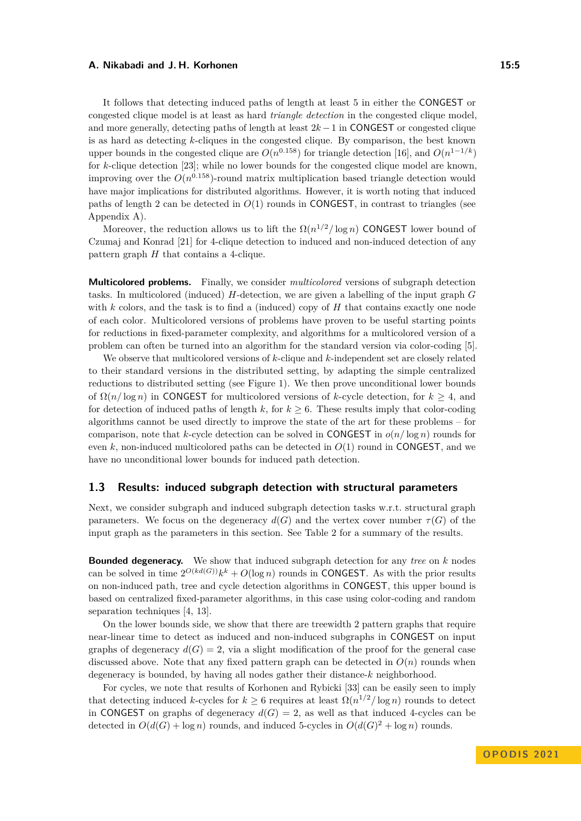It follows that detecting induced paths of length at least 5 in either the CONGEST or congested clique model is at least as hard *triangle detection* in the congested clique model, and more generally, detecting paths of length at least 2*k* −1 in CONGEST or congested clique is as hard as detecting *k*-cliques in the congested clique. By comparison, the best known upper bounds in the congested clique are  $O(n^{0.158})$  for triangle detection [\[16\]](#page-15-1), and  $O(n^{1-1/k})$ for *k*-clique detection [\[23\]](#page-15-0); while no lower bounds for the congested clique model are known, improving over the  $O(n^{0.158})$ -round matrix multiplication based triangle detection would have major implications for distributed algorithms. However, it is worth noting that induced paths of length 2 can be detected in  $O(1)$  rounds in CONGEST, in contrast to triangles (see Appendix [A\)](#page-16-7).

Moreover, the reduction allows us to lift the  $\Omega(n^{1/2}/\log n)$  CONGEST lower bound of Czumaj and Konrad [\[21\]](#page-15-10) for 4-clique detection to induced and non-induced detection of any pattern graph *H* that contains a 4-clique.

**Multicolored problems.** Finally, we consider *multicolored* versions of subgraph detection tasks. In multicolored (induced) *H*-detection, we are given a labelling of the input graph *G* with *k* colors, and the task is to find a (induced) copy of *H* that contains exactly one node of each color. Multicolored versions of problems have proven to be useful starting points for reductions in fixed-parameter complexity, and algorithms for a multicolored version of a problem can often be turned into an algorithm for the standard version via color-coding [\[5\]](#page-14-5).

We observe that multicolored versions of *k*-clique and *k*-independent set are closely related to their standard versions in the distributed setting, by adapting the simple centralized reductions to distributed setting (see Figure [1\)](#page-5-0). We then prove unconditional lower bounds of  $\Omega(n/\log n)$  in CONGEST for multicolored versions of *k*-cycle detection, for  $k \geq 4$ , and for detection of induced paths of length  $k$ , for  $k \geq 6$ . These results imply that color-coding algorithms cannot be used directly to improve the state of the art for these problems – for comparison, note that *k*-cycle detection can be solved in CONGEST in  $o(n/\log n)$  rounds for even *k*, non-induced multicolored paths can be detected in *O*(1) round in CONGEST, and we have no unconditional lower bounds for induced path detection.

# **1.3 Results: induced subgraph detection with structural parameters**

Next, we consider subgraph and induced subgraph detection tasks w.r.t. structural graph parameters. We focus on the degeneracy  $d(G)$  and the vertex cover number  $\tau(G)$  of the input graph as the parameters in this section. See Table [2](#page-3-0) for a summary of the results.

**Bounded degeneracy.** We show that induced subgraph detection for any *tree* on *k* nodes can be solved in time  $2^{O(kd(G))}k^k + O(\log n)$  rounds in CONGEST. As with the prior results on non-induced path, tree and cycle detection algorithms in CONGEST, this upper bound is based on centralized fixed-parameter algorithms, in this case using color-coding and random separation techniques [\[4,](#page-14-6) [13\]](#page-14-7).

On the lower bounds side, we show that there are treewidth 2 pattern graphs that require near-linear time to detect as induced and non-induced subgraphs in CONGEST on input graphs of degeneracy  $d(G) = 2$ , via a slight modification of the proof for the general case discussed above. Note that any fixed pattern graph can be detected in  $O(n)$  rounds when degeneracy is bounded, by having all nodes gather their distance-*k* neighborhood.

For cycles, we note that results of Korhonen and Rybicki [\[33\]](#page-16-2) can be easily seen to imply that detecting induced *k*-cycles for  $k \geq 6$  requires at least  $\Omega(n^{1/2}/\log n)$  rounds to detect in CONGEST on graphs of degeneracy  $d(G) = 2$ , as well as that induced 4-cycles can be detected in  $O(d(G) + \log n)$  rounds, and induced 5-cycles in  $O(d(G)^2 + \log n)$  rounds.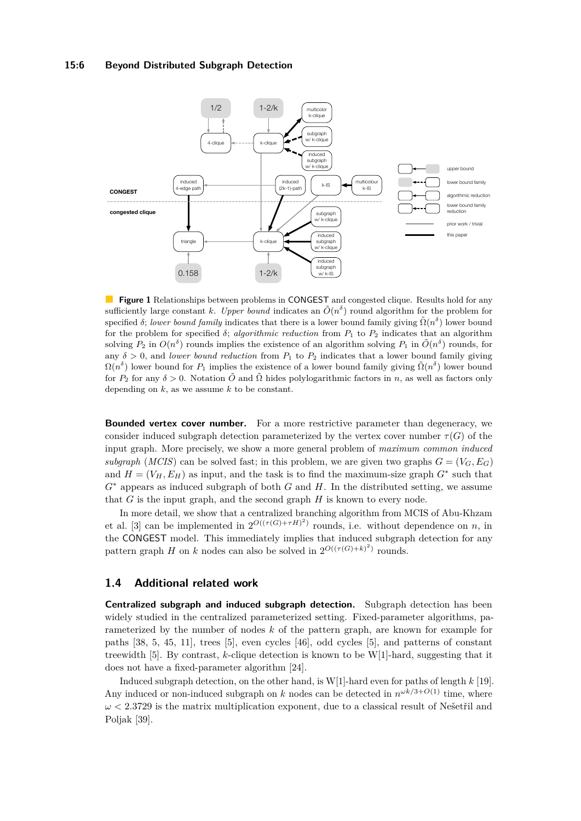#### **15:6 Beyond Distributed Subgraph Detection**

<span id="page-5-0"></span>

**Figure 1** Relationships between problems in CONGEST and congested clique. Results hold for any sufficiently large constant *k*. *Upper bound* indicates an  $\tilde{O}(n^{\delta})$  round algorithm for the problem for specified *δ*; *lower bound family* indicates that there is a lower bound family giving  $\tilde{\Omega}(n^{\delta})$  lower bound for the problem for specified  $\delta$ ; *algorithmic reduction* from  $P_1$  to  $P_2$  indicates that an algorithm solving  $P_2$  in  $O(n^{\delta})$  rounds implies the existence of an algorithm solving  $P_1$  in  $\tilde{O}(n^{\delta})$  rounds, for any  $\delta > 0$ , and *lower bound reduction* from  $P_1$  to  $P_2$  indicates that a lower bound family giving  $\Omega(n^{\delta})$  lower bound for  $P_1$  implies the existence of a lower bound family giving  $\tilde{\Omega}(n^{\delta})$  lower bound for  $P_2$  for any  $\delta > 0$ . Notation  $\tilde{O}$  and  $\tilde{\Omega}$  hides polylogarithmic factors in *n*, as well as factors only depending on *k*, as we assume *k* to be constant.

**Bounded vertex cover number.** For a more restrictive parameter than degeneracy, we consider induced subgraph detection parameterized by the vertex cover number  $\tau(G)$  of the input graph. More precisely, we show a more general problem of *maximum common induced subgraph* (*MCIS*) can be solved fast; in this problem, we are given two graphs  $G = (V_G, E_G)$ and  $H = (V_H, E_H)$  as input, and the task is to find the maximum-size graph  $G^*$  such that *G*<sup>∗</sup> appears as induced subgraph of both *G* and *H*. In the distributed setting, we assume that *G* is the input graph, and the second graph *H* is known to every node.

In more detail, we show that a centralized branching algorithm from MCIS of Abu-Khzam et al. [\[3\]](#page-14-8) can be implemented in  $2^{O((\tau(G)+\tau H)^2)}$  rounds, i.e. without dependence on *n*, in the CONGEST model. This immediately implies that induced subgraph detection for any pattern graph *H* on *k* nodes can also be solved in  $2^{O((\tau(G)+k)^2)}$  rounds.

### **1.4 Additional related work**

**Centralized subgraph and induced subgraph detection.** Subgraph detection has been widely studied in the centralized parameterized setting. Fixed-parameter algorithms, parameterized by the number of nodes *k* of the pattern graph, are known for example for paths [\[38,](#page-16-8) [5,](#page-14-5) [45,](#page-16-9) [11\]](#page-14-9), trees [\[5\]](#page-14-5), even cycles [\[46\]](#page-16-10), odd cycles [\[5\]](#page-14-5), and patterns of constant treewidth [\[5\]](#page-14-5). By contrast, *k*-clique detection is known to be W[1]-hard, suggesting that it does not have a fixed-parameter algorithm [\[24\]](#page-15-12).

Induced subgraph detection, on the other hand, is W[1]-hard even for paths of length *k* [\[19\]](#page-15-13). Any induced or non-induced subgraph on *k* nodes can be detected in  $n^{\omega k/3+O(1)}$  time, where *ω <* 2*.*3729 is the matrix multiplication exponent, due to a classical result of Nešetřil and Poljak [\[39\]](#page-16-11).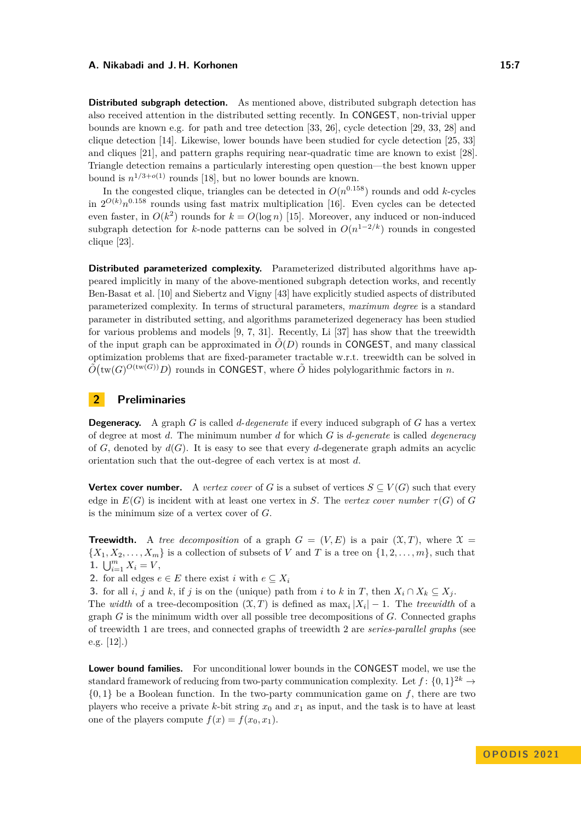**Distributed subgraph detection.** As mentioned above, distributed subgraph detection has also received attention in the distributed setting recently. In CONGEST, non-trivial upper bounds are known e.g. for path and tree detection [\[33,](#page-16-2) [26\]](#page-15-3), cycle detection [\[29,](#page-15-4) [33,](#page-16-2) [28\]](#page-15-5) and clique detection [\[14\]](#page-15-7). Likewise, lower bounds have been studied for cycle detection [\[25,](#page-15-2) [33\]](#page-16-2) and cliques [\[21\]](#page-15-10), and pattern graphs requiring near-quadratic time are known to exist [\[28\]](#page-15-5). Triangle detection remains a particularly interesting open question––the best known upper bound is  $n^{1/3+o(1)}$  rounds [\[18\]](#page-15-14), but no lower bounds are known.

In the congested clique, triangles can be detected in  $O(n^{0.158})$  rounds and odd *k*-cycles in  $2^{O(k)}n^{0.158}$  rounds using fast matrix multiplication [\[16\]](#page-15-1). Even cycles can be detected even faster, in  $O(k^2)$  rounds for  $k = O(\log n)$  [\[15\]](#page-15-6). Moreover, any induced or non-induced subgraph detection for *k*-node patterns can be solved in *O*(*n* <sup>1</sup>−2*/k*) rounds in congested clique [\[23\]](#page-15-0).

**Distributed parameterized complexity.** Parameterized distributed algorithms have appeared implicitly in many of the above-mentioned subgraph detection works, and recently Ben-Basat et al. [\[10\]](#page-14-0) and Siebertz and Vigny [\[43\]](#page-16-3) have explicitly studied aspects of distributed parameterized complexity. In terms of structural parameters, *maximum degree* is a standard parameter in distributed setting, and algorithms parameterized degeneracy has been studied for various problems and models [\[9,](#page-14-10) [7,](#page-14-1) [31\]](#page-16-12). Recently, Li [\[37\]](#page-16-13) has show that the treewidth of the input graph can be approximated in  $O(D)$  rounds in CONGEST, and many classical optimization problems that are fixed-parameter tractable w.r.t. treewidth can be solved in  $\tilde{O}(\text{tw}(G)^{O(\text{tw}(G))}D)$  rounds in CONGEST, where  $\tilde{O}$  hides polylogarithmic factors in *n*.

# <span id="page-6-0"></span>**2 Preliminaries**

**Degeneracy.** A graph *G* is called *d*-*degenerate* if every induced subgraph of *G* has a vertex of degree at most *d*. The minimum number *d* for which *G* is *d*-*generate* is called *degeneracy* of  $G$ , denoted by  $d(G)$ . It is easy to see that every *d*-degenerate graph admits an acyclic orientation such that the out-degree of each vertex is at most *d*.

**Vertex cover number.** A *vertex cover* of *G* is a subset of vertices  $S \subseteq V(G)$  such that every edge in  $E(G)$  is incident with at least one vertex in *S*. The *vertex cover number*  $\tau(G)$  of *G* is the minimum size of a vertex cover of *G*.

**Treewidth.** A *tree decomposition* of a graph  $G = (V, E)$  is a pair  $(\mathcal{X}, T)$ , where  $\mathcal{X} =$  $\{X_1, X_2, \ldots, X_m\}$  is a collection of subsets of *V* and *T* is a tree on  $\{1, 2, \ldots, m\}$ , such that **1.**  $\bigcup_{i=1}^{m} X_i = V$ ,

2. for all edges  $e \in E$  there exist *i* with  $e \subseteq X_i$ 

**3.** for all *i*, *j* and *k*, if *j* is on the (unique) path from *i* to *k* in *T*, then  $X_i \cap X_k \subseteq X_j$ .

The *width* of a tree-decomposition  $(\mathfrak{X}, T)$  is defined as  $\max_i |X_i| - 1$ . The *treewidth* of a graph *G* is the minimum width over all possible tree decompositions of *G*. Connected graphs of treewidth 1 are trees, and connected graphs of treewidth 2 are *series-parallel graphs* (see e.g. [\[12\]](#page-14-11).)

**Lower bound families.** For unconditional lower bounds in the CONGEST model, we use the standard framework of reducing from two-party communication complexity. Let  $f: \{0,1\}^{2k} \rightarrow$  ${0,1}$  be a Boolean function. In the two-party communication game on  $f$ , there are two players who receive a private  $k$ -bit string  $x_0$  and  $x_1$  as input, and the task is to have at least one of the players compute  $f(x) = f(x_0, x_1)$ .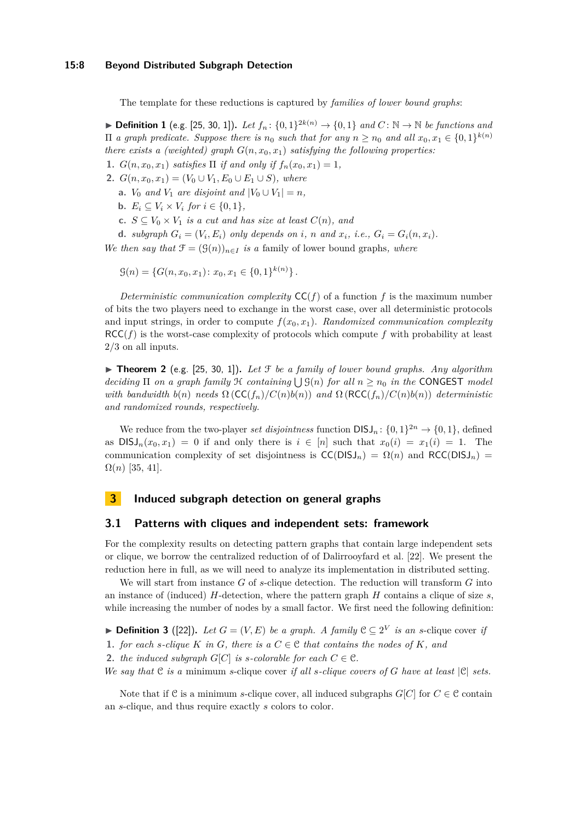The template for these reductions is captured by *families of lower bound graphs*:

▶ **Definition 1** (e.g. [\[25,](#page-15-2) [30,](#page-16-5) [1\]](#page-14-3)). Let  $f_n$ :  $\{0,1\}^{2k(n)}$  →  $\{0,1\}$  and  $C$ :  $\mathbb{N}$  →  $\mathbb{N}$  be functions and  $\Pi$  *a graph predicate. Suppose there is*  $n_0$  *such that for any*  $n \geq n_0$  *and all*  $x_0, x_1 \in \{0, 1\}^{k(n)}$ *there exists a (weighted) graph*  $G(n, x_0, x_1)$  *satisfying the following properties:* 

**1.**  $G(n, x_0, x_1)$  *satisfies*  $\Pi$  *if and only if*  $f_n(x_0, x_1) = 1$ *,* 

- **2.**  $G(n, x_0, x_1) = (V_0 \cup V_1, E_0 \cup E_1 \cup S)$ , where
	- **a.**  $V_0$  *and*  $V_1$  *are disjoint and*  $|V_0 \cup V_1| = n$ *,*
	- **b.**  $E_i \subseteq V_i \times V_i$  for  $i \in \{0, 1\}$ ,
	- **c.** *S* ⊆ *V*<sub>0</sub> × *V*<sub>1</sub> *is a cut and has size at least*  $C(n)$ *, and*

**d.** subgraph  $G_i = (V_i, E_i)$  only depends on i, n and  $x_i$ , i.e.,  $G_i = G_i(n, x_i)$ .

*We then say that*  $\mathcal{F} = (\mathcal{G}(n))_{n \in I}$  *is a family of lower bound graphs, where* 

$$
\mathcal{G}(n) = \{ G(n, x_0, x_1) \colon x_0, x_1 \in \{0, 1\}^{k(n)} \}.
$$

*Deterministic communication complexity*  $CC(f)$  of a function f is the maximum number of bits the two players need to exchange in the worst case, over all deterministic protocols and input strings, in order to compute  $f(x_0, x_1)$ . *Randomized communication complexity*  $RCC(f)$  is the worst-case complexity of protocols which compute f with probability at least 2*/*3 on all inputs.

<span id="page-7-0"></span> $\triangleright$  **Theorem 2** (e.g. [\[25,](#page-15-2) [30,](#page-16-5) [1\]](#page-14-3)). Let F be a family of lower bound graphs. Any algorithm  $deciding \Pi$  *on a graph family*  $H$  *containing*  $\bigcup G(n)$  *for all*  $n \geq n_0$  *in the* CONGEST *model with bandwidth*  $b(n)$  *needs*  $\Omega$  ( $CC(f_n)/C(n)b(n)$ ) *and*  $\Omega$  ( $RCC(f_n)/C(n)b(n)$ ) *deterministic and randomized rounds, respectively.*

We reduce from the two-player *set disjointness* function  $DISJ_n: \{0,1\}^{2n} \to \{0,1\}$ , defined as  $DISJ_n(x_0, x_1) = 0$  if and only there is  $i \in [n]$  such that  $x_0(i) = x_1(i) = 1$ . The communication complexity of set disjointness is  $CC(DISJ_n) = \Omega(n)$  and  $RCC(DISJ_n) =$  $Ω(n)$  [\[35,](#page-16-14) [41\]](#page-16-15).

# **3 Induced subgraph detection on general graphs**

#### **3.1 Patterns with cliques and independent sets: framework**

For the complexity results on detecting pattern graphs that contain large independent sets or clique, we borrow the centralized reduction of of Dalirrooyfard et al. [\[22\]](#page-15-11). We present the reduction here in full, as we will need to analyze its implementation in distributed setting.

We will start from instance *G* of *s*-clique detection. The reduction will transform *G* into an instance of (induced) *H*-detection, where the pattern graph *H* contains a clique of size *s*, while increasing the number of nodes by a small factor. We first need the following definition:

▶ **Definition 3** ([\[22\]](#page-15-11)). Let  $G = (V, E)$  be a graph. A family  $C ⊆ 2<sup>V</sup>$  is an *s*-clique cover *if* 

**1.** *for each s*-*clique K in G, there is*  $a \text{ } C \in \mathcal{C}$  *that contains the nodes of K, and* 

**2.** *the induced subgraph*  $G[C]$  *is s-colorable for each*  $C \in \mathcal{C}$ *.* 

*We say that* C *is a* minimum *s*-clique cover *if all s-clique covers of G have at least* |C| *sets.*

Note that if C is a minimum *s*-clique cover, all induced subgraphs  $G[C]$  for  $C \in \mathcal{C}$  contain an *s*-clique, and thus require exactly *s* colors to color.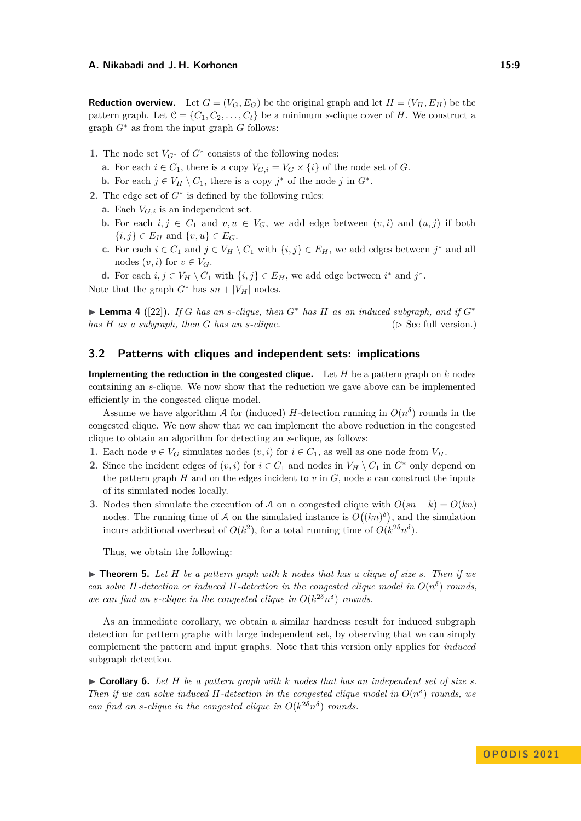**Reduction overview.** Let  $G = (V_G, E_G)$  be the original graph and let  $H = (V_H, E_H)$  be the pattern graph. Let  $\mathcal{C} = \{C_1, C_2, \ldots, C_t\}$  be a minimum *s*-clique cover of *H*. We construct a graph *G*<sup>∗</sup> as from the input graph *G* follows:

- 1. The node set  $V_{G^*}$  of  $G^*$  consists of the following nodes:
	- **a.** For each  $i \in C_1$ , there is a copy  $V_{G,i} = V_G \times \{i\}$  of the node set of *G*.
	- **b.** For each  $j \in V_H \setminus C_1$ , there is a copy  $j^*$  of the node  $j$  in  $G^*$ .
- **2.** The edge set of  $G^*$  is defined by the following rules:
	- **a.** Each *VG,i* is an independent set.
	- **b.** For each  $i, j \in C_1$  and  $v, u \in V_G$ , we add edge between  $(v, i)$  and  $(u, j)$  if both  $\{i, j\} \in E_H$  and  $\{v, u\} \in E_G$ .
	- **c.** For each *i* ∈ *C*<sub>1</sub> and *j* ∈ *V<sub>H</sub>*  $\setminus$  *C*<sub>1</sub> with {*i, j*} ∈ *E<sub>H</sub>*, we add edges between *j*<sup>\*</sup> and all nodes  $(v, i)$  for  $v \in V_G$ .
	- **d.** For each  $i, j \in V_H \setminus C_1$  with  $\{i, j\} \in E_H$ , we add edge between  $i^*$  and  $j^*$ .

Note that the graph  $G^*$  has  $sn + |V_H|$  nodes.

▶ **Lemma 4** ([\[22\]](#page-15-11)). *If G has an s-clique, then*  $G^*$  *has*  $H$  *as an induced subgraph, and if*  $G^*$ *has*  $H$  *as a subgraph, then*  $G$  *has an s-clique.* ( $\triangleright$  See full version.)

## **3.2 Patterns with cliques and independent sets: implications**

**Implementing the reduction in the congested clique.** Let *H* be a pattern graph on *k* nodes containing an *s*-clique. We now show that the reduction we gave above can be implemented efficiently in the congested clique model.

Assume we have algorithm A for (induced) H-detection running in  $O(n^{\delta})$  rounds in the congested clique. We now show that we can implement the above reduction in the congested clique to obtain an algorithm for detecting an *s*-clique, as follows:

- **1.** Each node  $v \in V_G$  simulates nodes  $(v, i)$  for  $i \in C_1$ , as well as one node from  $V_H$ .
- **2.** Since the incident edges of  $(v, i)$  for  $i \in C_1$  and nodes in  $V_H \setminus C_1$  in  $G^*$  only depend on the pattern graph  $H$  and on the edges incident to  $v$  in  $G$ , node  $v$  can construct the inputs of its simulated nodes locally.
- **3.** Nodes then simulate the execution of A on a congested clique with  $O(sn + k) = O(kn)$ nodes. The running time of A on the simulated instance is  $O((kn)^{\delta})$ , and the simulation incurs additional overhead of  $O(k^2)$ , for a total running time of  $O(k^{2\delta}n^{\delta})$ .

Thus, we obtain the following:

 $\triangleright$  **Theorem 5.** Let *H* be a pattern graph with *k* nodes that has a clique of size *s*. Then if we *can solve H*-detection or induced *H*-detection in the congested clique model in  $O(n^{\delta})$  rounds, *we can find an s-clique in the congested clique in*  $O(k^{2\delta} n^{\delta})$  *rounds.* 

As an immediate corollary, we obtain a similar hardness result for induced subgraph detection for pattern graphs with large independent set, by observing that we can simply complement the pattern and input graphs. Note that this version only applies for *induced* subgraph detection.

<span id="page-8-0"></span> $\triangleright$  **Corollary 6.** Let H be a pattern graph with k nodes that has an independent set of size *s*. *Then if we can solve induced H-detection in the congested clique model in*  $O(n^{\delta})$  *rounds, we can find an s-clique in the congested clique in*  $O(k^{2\delta} n^{\delta})$  *rounds.*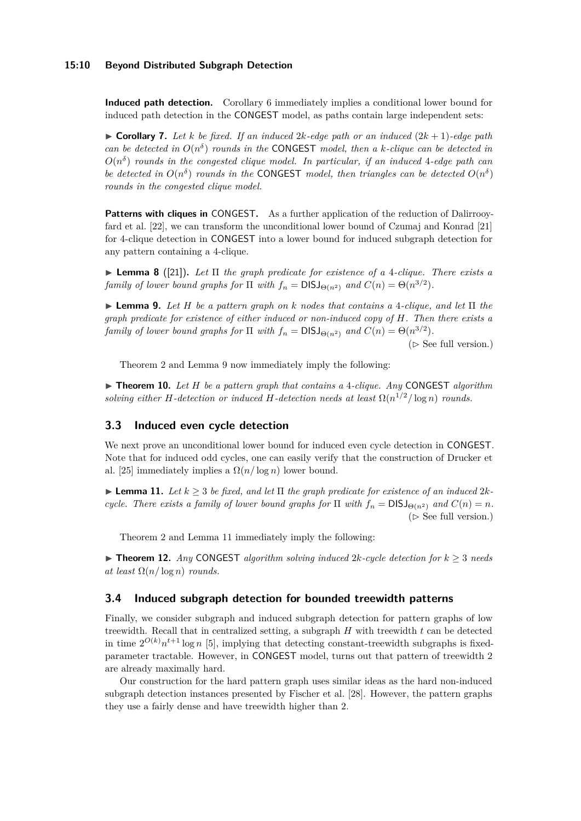#### **15:10 Beyond Distributed Subgraph Detection**

**Induced path detection.** Corollary [6](#page-8-0) immediately implies a conditional lower bound for induced path detection in the CONGEST model, as paths contain large independent sets:

 $\triangleright$  **Corollary 7.** Let *k* be fixed. If an induced 2*k*-edge path or an induced  $(2k+1)$ -edge path *can be detected in*  $O(n^{\delta})$  *rounds in the* **CONGEST** *model, then a k-clique can be detected in*  $O(n^{\delta})$  *rounds in the congested clique model. In particular, if an induced* 4*-edge path can be detected in*  $O(n^{\delta})$  *rounds in the* CONGEST *model, then triangles can be detected*  $O(n^{\delta})$ *rounds in the congested clique model.*

<span id="page-9-1"></span>Patterns with cliques in CONGEST. As a further application of the reduction of Dalirrooyfard et al. [\[22\]](#page-15-11), we can transform the unconditional lower bound of Czumaj and Konrad [\[21\]](#page-15-10) for 4-clique detection in CONGEST into a lower bound for induced subgraph detection for any pattern containing a 4-clique.

▶ **Lemma 8** ([\[21\]](#page-15-10))**.** *Let* Π *the graph predicate for existence of a* 4*-clique. There exists a family of lower bound graphs for*  $\Pi$  *with*  $f_n = \text{DISJ}_{\Theta(n^2)}$  *and*  $C(n) = \Theta(n^{3/2})$ *.* 

<span id="page-9-3"></span>▶ **Lemma 9.** *Let H be a pattern graph on k nodes that contains a* 4*-clique, and let* Π *the graph predicate for existence of either induced or non-induced copy of H. Then there exists a family of lower bound graphs for*  $\Pi$  *with*  $f_n = \text{DISJ}_{\Theta(n^2)}$  *and*  $C(n) = \Theta(n^{3/2})$ *.* 

( $\triangleright$  See full version.)

Theorem [2](#page-7-0) and Lemma [9](#page-9-3) now immediately imply the following:

▶ **Theorem 10.** *Let H be a pattern graph that contains a* 4*-clique. Any* CONGEST *algorithm solving either H-detection or induced H-detection needs at least*  $\Omega(n^{1/2}/\log n)$  *rounds.* 

## <span id="page-9-0"></span>**3.3 Induced even cycle detection**

We next prove an unconditional lower bound for induced even cycle detection in CONGEST. Note that for induced odd cycles, one can easily verify that the construction of Drucker et al. [\[25\]](#page-15-2) immediately implies a  $\Omega(n/\log n)$  lower bound.

<span id="page-9-4"></span> $\blacktriangleright$  **Lemma 11.** Let  $k \geq 3$  be fixed, and let  $\Pi$  the graph predicate for existence of an induced  $2k$ *cycle. There exists a family of lower bound graphs for*  $\Pi$  *with*  $f_n = DISJ_{\Theta(n^2)}$  *and*  $C(n) = n$ *.* ( $\triangleright$  See full version.)

Theorem [2](#page-7-0) and Lemma [11](#page-9-4) immediately imply the following:

▶ **Theorem 12.** *Any* CONGEST *algorithm solving induced*  $2k$ *-cycle detection for*  $k ≥ 3$  *needs at least*  $\Omega(n/\log n)$  *rounds.* 

# <span id="page-9-2"></span>**3.4 Induced subgraph detection for bounded treewidth patterns**

Finally, we consider subgraph and induced subgraph detection for pattern graphs of low treewidth. Recall that in centralized setting, a subgraph *H* with treewidth *t* can be detected in time  $2^{O(k)}n^{t+1}\log n$  [\[5\]](#page-14-5), implying that detecting constant-treewidth subgraphs is fixedparameter tractable. However, in CONGEST model, turns out that pattern of treewidth 2 are already maximally hard.

Our construction for the hard pattern graph uses similar ideas as the hard non-induced subgraph detection instances presented by Fischer et al. [\[28\]](#page-15-5). However, the pattern graphs they use a fairly dense and have treewidth higher than 2.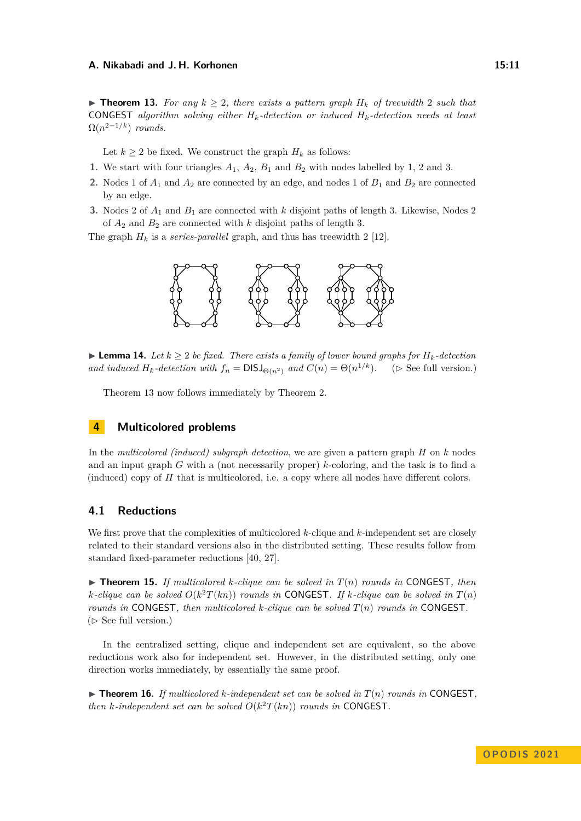<span id="page-10-0"></span>▶ **Theorem 13.** For any  $k \geq 2$ , there exists a pattern graph  $H_k$  of treewidth 2 such that CONGEST *algorithm solving either Hk-detection or induced Hk-detection needs at least*  $\Omega(n^{2-1/k})$  *rounds.* 

Let  $k \geq 2$  be fixed. We construct the graph  $H_k$  as follows:

- **1.** We start with four triangles *A*1, *A*2, *B*<sup>1</sup> and *B*<sup>2</sup> with nodes labelled by 1, 2 and 3.
- **2.** Nodes 1 of *A*<sup>1</sup> and *A*<sup>2</sup> are connected by an edge, and nodes 1 of *B*<sup>1</sup> and *B*<sup>2</sup> are connected by an edge.
- **3.** Nodes 2 of *A*<sup>1</sup> and *B*<sup>1</sup> are connected with *k* disjoint paths of length 3. Likewise, Nodes 2 of *A*<sup>2</sup> and *B*<sup>2</sup> are connected with *k* disjoint paths of length 3.

The graph  $H_k$  is a *series-parallel* graph, and thus has treewidth 2 [\[12\]](#page-14-11).



▶ **Lemma 14.** *Let*  $k \geq 2$  *be fixed. There exists a family of lower bound graphs for*  $H_k$ -detection *and induced*  $H_k$ -detection with  $f_n = \text{DISJ}_{\Theta(n^2)}$  and  $C(n) = \Theta(n^{1/k})$ . ( $\triangleright$  See full version.)

Theorem [13](#page-10-0) now follows immediately by Theorem [2.](#page-7-0)

# **4 Multicolored problems**

In the *multicolored (induced) subgraph detection*, we are given a pattern graph *H* on *k* nodes and an input graph *G* with a (not necessarily proper) *k*-coloring, and the task is to find a (induced) copy of *H* that is multicolored, i.e. a copy where all nodes have different colors.

# **4.1 Reductions**

We first prove that the complexities of multicolored *k*-clique and *k*-independent set are closely related to their standard versions also in the distributed setting. These results follow from standard fixed-parameter reductions [\[40,](#page-16-16) [27\]](#page-15-15).

 $\triangleright$  **Theorem 15.** If multicolored *k*-clique can be solved in  $T(n)$  rounds in CONGEST, then *k*-clique can be solved  $O(k^2T(kn))$  *rounds in* **CONGEST**. If *k*-clique can be solved in  $T(n)$ *rounds in* CONGEST*, then multicolored k-clique can be solved T*(*n*) *rounds in* CONGEST*.*  $($   $\triangleright$  See full version.)

In the centralized setting, clique and independent set are equivalent, so the above reductions work also for independent set. However, in the distributed setting, only one direction works immediately, by essentially the same proof.

 $\triangleright$  **Theorem 16.** *If multicolored k-independent set can be solved in*  $T(n)$  *rounds in* CONGEST, *then k*-independent set can be solved  $O(k^2T(kn))$  rounds in CONGEST.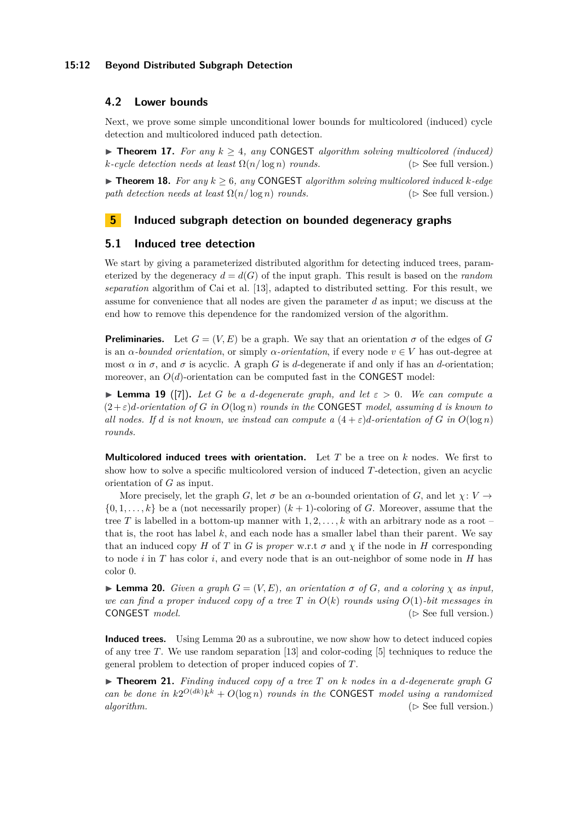## **15:12 Beyond Distributed Subgraph Detection**

# <span id="page-11-0"></span>**4.2 Lower bounds**

Next, we prove some simple unconditional lower bounds for multicolored (induced) cycle detection and multicolored induced path detection.

 $\triangleright$  **Theorem 17.** For any  $k > 4$ , any CONGEST algorithm solving multicolored (induced)  $k$ *-cycle detection needs at least*  $\Omega(n/\log n)$  *rounds.* ( $\triangleright$  See full version.)

▶ **Theorem 18.** *For any*  $k \geq 6$ *, any* CONGEST *algorithm solving multicolored induced*  $k$ *-edge path detection needs at least*  $\Omega(n/\log n)$  *rounds.* ( $\triangleright$  See full version.)

# <span id="page-11-1"></span>**5 Induced subgraph detection on bounded degeneracy graphs**

## **5.1 Induced tree detection**

We start by giving a parameterized distributed algorithm for detecting induced trees, parameterized by the degeneracy  $d = d(G)$  of the input graph. This result is based on the *random separation* algorithm of Cai et al. [\[13\]](#page-14-7), adapted to distributed setting. For this result, we assume for convenience that all nodes are given the parameter *d* as input; we discuss at the end how to remove this dependence for the randomized version of the algorithm.

**Preliminaries.** Let  $G = (V, E)$  be a graph. We say that an orientation  $\sigma$  of the edges of *G* is an *α*-bounded orientation, or simply *α*-orientation, if every node  $v \in V$  has out-degree at most  $\alpha$  in  $\sigma$ , and  $\sigma$  is acyclic. A graph *G* is *d*-degenerate if and only if has an *d*-orientation; moreover, an  $O(d)$ -orientation can be computed fast in the CONGEST model:

<span id="page-11-3"></span> $\blacktriangleright$  **Lemma 19** ([\[7\]](#page-14-1)). Let G be a d-degenerate graph, and let  $\varepsilon > 0$ . We can compute a  $(2 + \varepsilon)d$ *-orientation of G in*  $O(\log n)$  *rounds in the* CONGEST *model, assuming d is known to all nodes.* If *d is not known, we instead can compute a*  $(4 + \varepsilon)d$ *-orientation of G in*  $O(\log n)$ *rounds.*

**Multicolored induced trees with orientation.** Let *T* be a tree on *k* nodes. We first to show how to solve a specific multicolored version of induced *T*-detection, given an acyclic orientation of *G* as input.

More precisely, let the graph *G*, let  $\sigma$  be an  $\alpha$ -bounded orientation of *G*, and let  $\chi: V \rightarrow$  $\{0, 1, \ldots, k\}$  be a (not necessarily proper)  $(k + 1)$ -coloring of *G*. Moreover, assume that the tree *T* is labelled in a bottom-up manner with 1*,* 2*, . . . , k* with an arbitrary node as a root – that is, the root has label  $k$ , and each node has a smaller label than their parent. We say that an induced copy *H* of *T* in *G* is *proper* w.r.t  $\sigma$  and  $\chi$  if the node in *H* corresponding to node *i* in *T* has color *i*, and every node that is an out-neighbor of some node in *H* has color 0.

<span id="page-11-2"></span> $\blacktriangleright$  **Lemma 20.** *Given a graph*  $G = (V, E)$ *, an orientation*  $\sigma$  *of*  $G$ *, and a coloring*  $\chi$  *as input, we can find a proper induced copy of a tree T in*  $O(k)$  *rounds using*  $O(1)$ *-bit messages in* CONGEST *model.* ( $\triangleright$  See full version.)

**Induced trees.** Using Lemma [20](#page-11-2) as a subroutine, we now show how to detect induced copies of any tree *T*. We use random separation [\[13\]](#page-14-7) and color-coding [\[5\]](#page-14-5) techniques to reduce the general problem to detection of proper induced copies of *T*.

 $\blacktriangleright$  **Theorem 21.** Finding induced copy of a tree T on k nodes in a d-degenerate graph G *can be done in*  $k2^{O(dk)}k^k + O(\log n)$  *rounds in the* CONGEST *model using a randomized algorithm.* ( $\triangleright$  See full version.)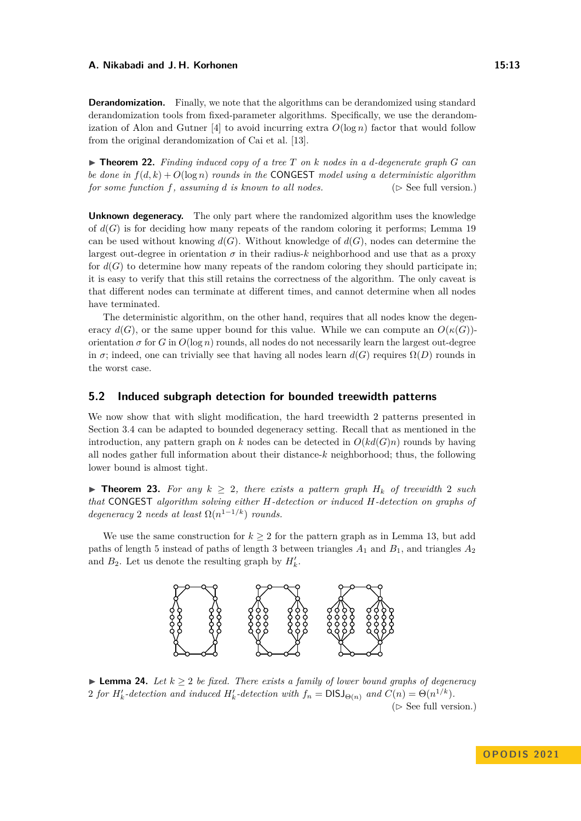**Derandomization.** Finally, we note that the algorithms can be derandomized using standard derandomization tools from fixed-parameter algorithms. Specifically, we use the derandom-ization of Alon and Gutner [\[4\]](#page-14-6) to avoid incurring extra  $O(\log n)$  factor that would follow from the original derandomization of Cai et al. [\[13\]](#page-14-7).

 $\triangleright$  **Theorem 22.** Finding induced copy of a tree T on k nodes in a d-degenerate graph G can *be done in*  $f(d, k) + O(\log n)$  *rounds in the* CONGEST *model using a deterministic algorithm for some function*  $f$ *, assuming*  $d$  *is known to all nodes.* ( $\triangleright$  See full version.)

**Unknown degeneracy.** The only part where the randomized algorithm uses the knowledge of  $d(G)$  is for deciding how many repeats of the random coloring it performs; Lemma [19](#page-11-3) can be used without knowing  $d(G)$ . Without knowledge of  $d(G)$ , nodes can determine the largest out-degree in orientation  $\sigma$  in their radius-k neighborhood and use that as a proxy for  $d(G)$  to determine how many repeats of the random coloring they should participate in; it is easy to verify that this still retains the correctness of the algorithm. The only caveat is that different nodes can terminate at different times, and cannot determine when all nodes have terminated.

The deterministic algorithm, on the other hand, requires that all nodes know the degeneracy  $d(G)$ , or the same upper bound for this value. While we can compute an  $O(\kappa(G))$ orientation  $\sigma$  for *G* in  $O(\log n)$  rounds, all nodes do not necessarily learn the largest out-degree in  $\sigma$ ; indeed, one can trivially see that having all nodes learn  $d(G)$  requires  $\Omega(D)$  rounds in the worst case.

# <span id="page-12-0"></span>**5.2 Induced subgraph detection for bounded treewidth patterns**

We now show that with slight modification, the hard treewidth 2 patterns presented in Section [3.4](#page-9-2) can be adapted to bounded degeneracy setting. Recall that as mentioned in the introduction, any pattern graph on *k* nodes can be detected in  $O(kd(G)n)$  rounds by having all nodes gather full information about their distance-*k* neighborhood; thus, the following lower bound is almost tight.

▶ **Theorem 23.** For any  $k \geq 2$ , there exists a pattern graph  $H_k$  of treewidth 2 such *that* CONGEST *algorithm solving either H-detection or induced H-detection on graphs of degeneracy* 2 *needs at least*  $\Omega(n^{1-1/k})$  *rounds.* 

We use the same construction for  $k \geq 2$  for the pattern graph as in Lemma [13,](#page-10-0) but add paths of length 5 instead of paths of length 3 between triangles  $A_1$  and  $B_1$ , and triangles  $A_2$ and  $B_2$ . Let us denote the resulting graph by  $H'_{k}$ .



▶ **Lemma 24.** *Let*  $k > 2$  *be fixed. There exists a family of lower bound graphs of degeneracy* 2 *for*  $H'_{k}$ -detection and induced  $H'_{k}$ -detection with  $f_{n} = \text{DISJ}_{\Theta(n)}$  and  $C(n) = \Theta(n^{1/k})$ . ( $\triangleright$  See full version.)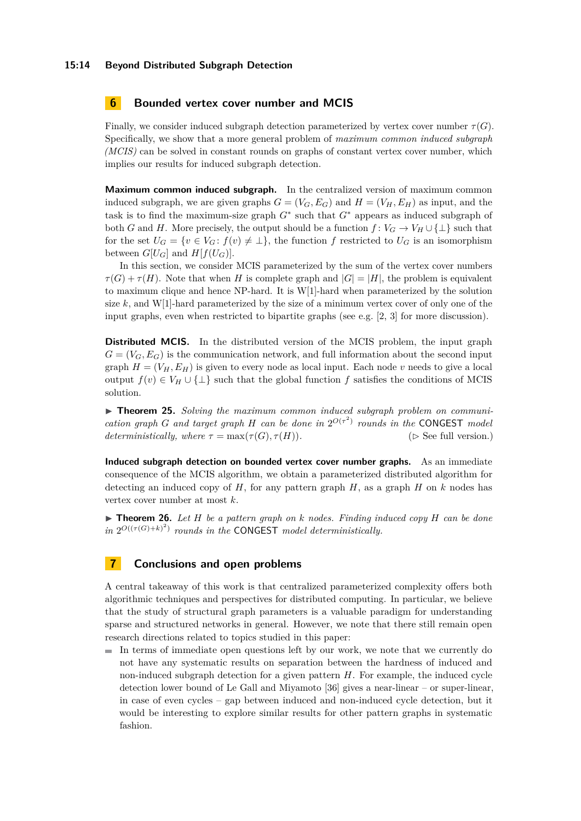#### **15:14 Beyond Distributed Subgraph Detection**

## <span id="page-13-0"></span>**6 Bounded vertex cover number and MCIS**

Finally, we consider induced subgraph detection parameterized by vertex cover number  $\tau(G)$ . Specifically, we show that a more general problem of *maximum common induced subgraph (MCIS)* can be solved in constant rounds on graphs of constant vertex cover number, which implies our results for induced subgraph detection.

**Maximum common induced subgraph.** In the centralized version of maximum common induced subgraph, we are given graphs  $G = (V_G, E_G)$  and  $H = (V_H, E_H)$  as input, and the task is to find the maximum-size graph *G*<sup>∗</sup> such that *G*<sup>∗</sup> appears as induced subgraph of both *G* and *H*. More precisely, the output should be a function  $f: V_G \to V_H \cup \{\perp\}$  such that for the set  $U_G = \{v \in V_G : f(v) \neq \perp\}$ , the function f restricted to  $U_G$  is an isomorphism between  $G[U_G]$  and  $H[f(U_G)]$ .

In this section, we consider MCIS parameterized by the sum of the vertex cover numbers  $\tau(G) + \tau(H)$ . Note that when *H* is complete graph and  $|G| = |H|$ , the problem is equivalent to maximum clique and hence NP-hard. It is W[1]-hard when parameterized by the solution size  $k$ , and W[1]-hard parameterized by the size of a minimum vertex cover of only one of the input graphs, even when restricted to bipartite graphs (see e.g.  $[2, 3]$  $[2, 3]$  for more discussion).

**Distributed MCIS.** In the distributed version of the MCIS problem, the input graph  $G = (V_G, E_G)$  is the communication network, and full information about the second input graph  $H = (V_H, E_H)$  is given to every node as local input. Each node *v* needs to give a local output  $f(v) \in V_H \cup \{\perp\}$  such that the global function f satisfies the conditions of MCIS solution.

▶ **Theorem 25.** *Solving the maximum common induced subgraph problem on communication graph G and target graph H can be done in*  $2^{O(\tau^2)}$  *rounds in the* CONGEST *model deterministically, where*  $\tau = \max(\tau(G), \tau(H))$ *.* ( $\triangleright$  See full version.)

**Induced subgraph detection on bounded vertex cover number graphs.** As an immediate consequence of the MCIS algorithm, we obtain a parameterized distributed algorithm for detecting an induced copy of  $H$ , for any pattern graph  $H$ , as a graph  $H$  on  $k$  nodes has vertex cover number at most *k*.

 $\blacktriangleright$  **Theorem 26.** Let *H* be a pattern graph on *k* nodes. Finding induced copy *H* can be done  $\int \int$   $2^{O((\tau(G)+k)^2)}$  *rounds in the* CONGEST *model deterministically.* 

# **7 Conclusions and open problems**

A central takeaway of this work is that centralized parameterized complexity offers both algorithmic techniques and perspectives for distributed computing. In particular, we believe that the study of structural graph parameters is a valuable paradigm for understanding sparse and structured networks in general. However, we note that there still remain open research directions related to topics studied in this paper:

 $\blacksquare$  In terms of immediate open questions left by our work, we note that we currently do not have any systematic results on separation between the hardness of induced and non-induced subgraph detection for a given pattern *H*. For example, the induced cycle detection lower bound of Le Gall and Miyamoto [\[36\]](#page-16-1) gives a near-linear – or super-linear, in case of even cycles – gap between induced and non-induced cycle detection, but it would be interesting to explore similar results for other pattern graphs in systematic fashion.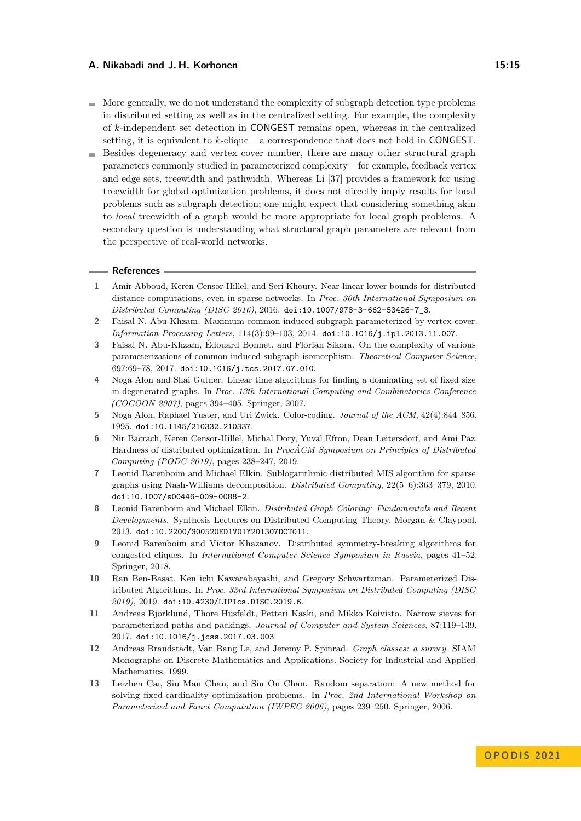- $\blacksquare$  More generally, we do not understand the complexity of subgraph detection type problems in distributed setting as well as in the centralized setting. For example, the complexity of *k*-independent set detection in CONGEST remains open, whereas in the centralized setting, it is equivalent to *k*-clique – a correspondence that does not hold in CONGEST.
- Besides degeneracy and vertex cover number, there are many other structural graph  $\blacksquare$ parameters commonly studied in parameterized complexity – for example, feedback vertex and edge sets, treewidth and pathwidth. Whereas Li [\[37\]](#page-16-13) provides a framework for using treewidth for global optimization problems, it does not directly imply results for local problems such as subgraph detection; one might expect that considering something akin to *local* treewidth of a graph would be more appropriate for local graph problems. A secondary question is understanding what structural graph parameters are relevant from the perspective of real-world networks.

#### **References**

- <span id="page-14-3"></span>**1** Amir Abboud, Keren Censor-Hillel, and Seri Khoury. Near-linear lower bounds for distributed distance computations, even in sparse networks. In *Proc. 30th International Symposium on Distributed Computing (DISC 2016)*, 2016. [doi:10.1007/978-3-662-53426-7\\_3](https://doi.org/10.1007/978-3-662-53426-7_3).
- <span id="page-14-12"></span>**2** Faisal N. Abu-Khzam. Maximum common induced subgraph parameterized by vertex cover. *Information Processing Letters*, 114(3):99–103, 2014. [doi:10.1016/j.ipl.2013.11.007](https://doi.org/10.1016/j.ipl.2013.11.007).
- <span id="page-14-8"></span>**3** Faisal N. Abu-Khzam, Édouard Bonnet, and Florian Sikora. On the complexity of various parameterizations of common induced subgraph isomorphism. *Theoretical Computer Science*, 697:69–78, 2017. [doi:10.1016/j.tcs.2017.07.010](https://doi.org/10.1016/j.tcs.2017.07.010).
- <span id="page-14-6"></span>**4** Noga Alon and Shai Gutner. Linear time algorithms for finding a dominating set of fixed size in degenerated graphs. In *Proc. 13th International Computing and Combinatorics Conference (COCOON 2007)*, pages 394–405. Springer, 2007.
- <span id="page-14-5"></span>**5** Noga Alon, Raphael Yuster, and Uri Zwick. Color-coding. *Journal of the ACM*, 42(4):844–856, 1995. [doi:10.1145/210332.210337](https://doi.org/10.1145/210332.210337).
- <span id="page-14-4"></span>**6** Nir Bacrach, Keren Censor-Hillel, Michal Dory, Yuval Efron, Dean Leitersdorf, and Ami Paz. Hardness of distributed optimization. In *ProcACM Symposium on Principles of Distributed ˙ Computing (PODC 2019)*, pages 238–247, 2019.
- <span id="page-14-1"></span>**7** Leonid Barenboim and Michael Elkin. Sublogarithmic distributed MIS algorithm for sparse graphs using Nash-Williams decomposition. *Distributed Computing*, 22(5–6):363–379, 2010. [doi:10.1007/s00446-009-0088-2](https://doi.org/10.1007/s00446-009-0088-2).
- <span id="page-14-2"></span>**8** Leonid Barenboim and Michael Elkin. *Distributed Graph Coloring: Fundamentals and Recent Developments*. Synthesis Lectures on Distributed Computing Theory. Morgan & Claypool, 2013. [doi:10.2200/S00520ED1V01Y201307DCT011](https://doi.org/10.2200/S00520ED1V01Y201307DCT011).
- <span id="page-14-10"></span>**9** Leonid Barenboim and Victor Khazanov. Distributed symmetry-breaking algorithms for congested cliques. In *International Computer Science Symposium in Russia*, pages 41–52. Springer, 2018.
- <span id="page-14-0"></span>**10** Ran Ben-Basat, Ken ichi Kawarabayashi, and Gregory Schwartzman. Parameterized Distributed Algorithms. In *Proc. 33rd International Symposium on Distributed Computing (DISC 2019)*, 2019. [doi:10.4230/LIPIcs.DISC.2019.6](https://doi.org/10.4230/LIPIcs.DISC.2019.6).
- <span id="page-14-9"></span>**11** Andreas Björklund, Thore Husfeldt, Petteri Kaski, and Mikko Koivisto. Narrow sieves for parameterized paths and packings. *Journal of Computer and System Sciences*, 87:119–139, 2017. [doi:10.1016/j.jcss.2017.03.003](https://doi.org/10.1016/j.jcss.2017.03.003).
- <span id="page-14-11"></span>**12** Andreas Brandstädt, Van Bang Le, and Jeremy P. Spinrad. *Graph classes: a survey*. SIAM Monographs on Discrete Mathematics and Applications. Society for Industrial and Applied Mathematics, 1999.
- <span id="page-14-7"></span>**13** Leizhen Cai, Siu Man Chan, and Siu On Chan. Random separation: A new method for solving fixed-cardinality optimization problems. In *Proc. 2nd International Workshop on Parameterized and Exact Computation (IWPEC 2006)*, pages 239–250. Springer, 2006.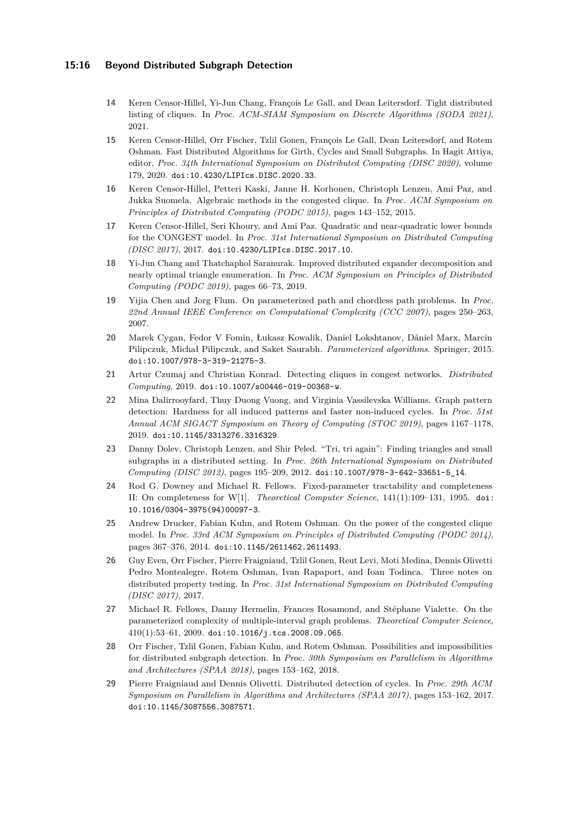## **15:16 Beyond Distributed Subgraph Detection**

- <span id="page-15-7"></span>**14** Keren Censor-Hillel, Yi-Jun Chang, François Le Gall, and Dean Leitersdorf. Tight distributed listing of cliques. In *Proc. ACM-SIAM Symposium on Discrete Algorithms (SODA 2021)*, 2021.
- <span id="page-15-6"></span>**15** Keren Censor-Hillel, Orr Fischer, Tzlil Gonen, François Le Gall, Dean Leitersdorf, and Rotem Oshman. Fast Distributed Algorithms for Girth, Cycles and Small Subgraphs. In Hagit Attiya, editor, *Proc. 34th International Symposium on Distributed Computing (DISC 2020)*, volume 179, 2020. [doi:10.4230/LIPIcs.DISC.2020.33](https://doi.org/10.4230/LIPIcs.DISC.2020.33).
- <span id="page-15-1"></span>**16** Keren Censor-Hillel, Petteri Kaski, Janne H. Korhonen, Christoph Lenzen, Ami Paz, and Jukka Suomela. Algebraic methods in the congested clique. In *Proc. ACM Symposium on Principles of Distributed Computing (PODC 2015)*, pages 143–152, 2015.
- <span id="page-15-9"></span>**17** Keren Censor-Hillel, Seri Khoury, and Ami Paz. Quadratic and near-quadratic lower bounds for the CONGEST model. In *Proc. 31st International Symposium on Distributed Computing (DISC 2017)*, 2017. [doi:10.4230/LIPIcs.DISC.2017.10](https://doi.org/10.4230/LIPIcs.DISC.2017.10).
- <span id="page-15-14"></span>**18** Yi-Jun Chang and Thatchaphol Saranurak. Improved distributed expander decomposition and nearly optimal triangle enumeration. In *Proc. ACM Symposium on Principles of Distributed Computing (PODC 2019)*, pages 66–73, 2019.
- <span id="page-15-13"></span>**19** Yijia Chen and Jorg Flum. On parameterized path and chordless path problems. In *Proc. 22nd Annual IEEE Conference on Computational Complexity (CCC 2007)*, pages 250–263, 2007.
- <span id="page-15-8"></span>**20** Marek Cygan, Fedor V Fomin, Łukasz Kowalik, Daniel Lokshtanov, Dániel Marx, Marcin Pilipczuk, Michał Pilipczuk, and Saket Saurabh. *Parameterized algorithms*. Springer, 2015. [doi:10.1007/978-3-319-21275-3](https://doi.org/10.1007/978-3-319-21275-3).
- <span id="page-15-10"></span>**21** Artur Czumaj and Christian Konrad. Detecting cliques in congest networks. *Distributed Computing*, 2019. [doi:10.1007/s00446-019-00368-w](https://doi.org/10.1007/s00446-019-00368-w).
- <span id="page-15-11"></span>**22** Mina Dalirrooyfard, Thuy Duong Vuong, and Virginia Vassilevska Williams. Graph pattern detection: Hardness for all induced patterns and faster non-induced cycles. In *Proc. 51st Annual ACM SIGACT Symposium on Theory of Computing (STOC 2019)*, pages 1167–1178, 2019. [doi:10.1145/3313276.3316329](https://doi.org/10.1145/3313276.3316329).
- <span id="page-15-0"></span>**23** Danny Dolev, Christoph Lenzen, and Shir Peled. "Tri, tri again": Finding triangles and small subgraphs in a distributed setting. In *Proc. 26th International Symposium on Distributed Computing (DISC 2012)*, pages 195–209, 2012. [doi:10.1007/978-3-642-33651-5\\_14](https://doi.org/10.1007/978-3-642-33651-5_14).
- <span id="page-15-12"></span>**24** Rod G. Downey and Michael R. Fellows. Fixed-parameter tractability and completeness II: On completeness for W[1]. *Theoretical Computer Science*, 141(1):109–131, 1995. [doi:](https://doi.org/10.1016/0304-3975(94)00097-3) [10.1016/0304-3975\(94\)00097-3](https://doi.org/10.1016/0304-3975(94)00097-3).
- <span id="page-15-2"></span>**25** Andrew Drucker, Fabian Kuhn, and Rotem Oshman. On the power of the congested clique model. In *Proc. 33rd ACM Symposium on Principles of Distributed Computing (PODC 2014)*, pages 367–376, 2014. [doi:10.1145/2611462.2611493](https://doi.org/10.1145/2611462.2611493).
- <span id="page-15-3"></span>**26** Guy Even, Orr Fischer, Pierre Fraigniaud, Tzlil Gonen, Reut Levi, Moti Medina, Dennis Olivetti Pedro Montealegre, Rotem Oshman, Ivan Rapaport, and Ioan Todinca. Three notes on distributed property testing. In *Proc. 31st International Symposium on Distributed Computing (DISC 2017)*, 2017.
- <span id="page-15-15"></span>**27** Michael R. Fellows, Danny Hermelin, Frances Rosamond, and Stéphane Vialette. On the parameterized complexity of multiple-interval graph problems. *Theoretical Computer Science*, 410(1):53–61, 2009. [doi:10.1016/j.tcs.2008.09.065](https://doi.org/10.1016/j.tcs.2008.09.065).
- <span id="page-15-5"></span>**28** Orr Fischer, Tzlil Gonen, Fabian Kuhn, and Rotem Oshman. Possibilities and impossibilities for distributed subgraph detection. In *Proc. 30th Symposium on Parallelism in Algorithms and Architectures (SPAA 2018)*, pages 153–162, 2018.
- <span id="page-15-4"></span>**29** Pierre Fraigniaud and Dennis Olivetti. Distributed detection of cycles. In *Proc. 29th ACM Symposium on Parallelism in Algorithms and Architectures (SPAA 2017)*, pages 153–162, 2017. [doi:10.1145/3087556.3087571](https://doi.org/10.1145/3087556.3087571).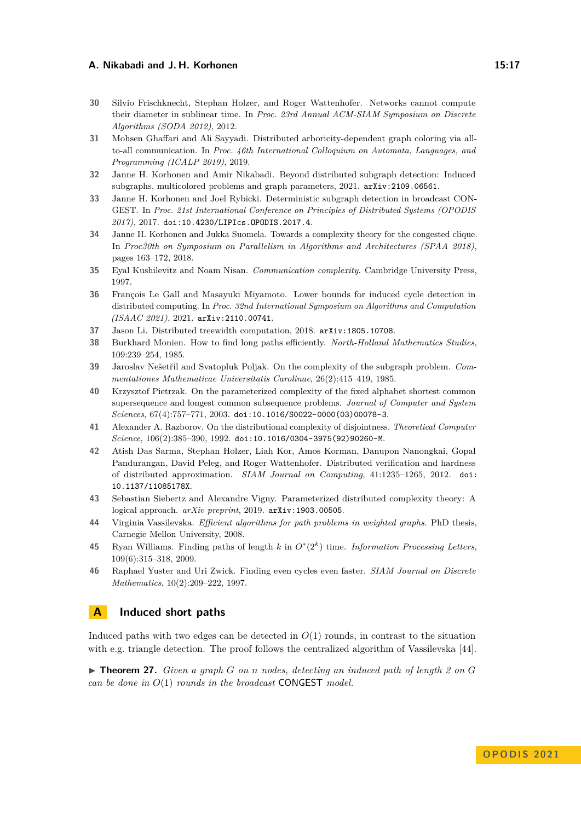- <span id="page-16-5"></span>**30** Silvio Frischknecht, Stephan Holzer, and Roger Wattenhofer. Networks cannot compute their diameter in sublinear time. In *Proc. 23rd Annual ACM-SIAM Symposium on Discrete Algorithms (SODA 2012)*, 2012.
- <span id="page-16-12"></span>**31** Mohsen Ghaffari and Ali Sayyadi. Distributed arboricity-dependent graph coloring via allto-all communication. In *Proc. 46th International Colloquium on Automata, Languages, and Programming (ICALP 2019)*, 2019.
- <span id="page-16-0"></span>**32** Janne H. Korhonen and Amir Nikabadi. Beyond distributed subgraph detection: Induced subgraphs, multicolored problems and graph parameters, 2021. [arXiv:2109.06561](http://arxiv.org/abs/2109.06561).
- <span id="page-16-2"></span>**33** Janne H. Korhonen and Joel Rybicki. Deterministic subgraph detection in broadcast CON-GEST. In *Proc. 21st International Conference on Principles of Distributed Systems (OPODIS 2017)*, 2017. [doi:10.4230/LIPIcs.OPODIS.2017.4](https://doi.org/10.4230/LIPIcs.OPODIS.2017.4).
- <span id="page-16-6"></span>**34** Janne H. Korhonen and Jukka Suomela. Towards a complexity theory for the congested clique. In *Proc30th on Symposium on Parallelism in Algorithms and Architectures (SPAA 2018)*, pages 163–172, 2018.
- <span id="page-16-14"></span>**35** Eyal Kushilevitz and Noam Nisan. *Communication complexity*. Cambridge University Press, 1997.
- <span id="page-16-1"></span>**36** François Le Gall and Masayuki Miyamoto. Lower bounds for induced cycle detection in distributed computing. In *Proc. 32nd International Symposium on Algorithms and Computation (ISAAC 2021)*, 2021. [arXiv:2110.00741](http://arxiv.org/abs/2110.00741).
- <span id="page-16-13"></span>**37** Jason Li. Distributed treewidth computation, 2018. [arXiv:1805.10708](http://arxiv.org/abs/1805.10708).
- <span id="page-16-8"></span>**38** Burkhard Monien. How to find long paths efficiently. *North-Holland Mathematics Studies*, 109:239–254, 1985.
- <span id="page-16-11"></span>**39** Jaroslav Nešetřil and Svatopluk Poljak. On the complexity of the subgraph problem. *Commentationes Mathematicae Universitatis Carolinae*, 26(2):415–419, 1985.
- <span id="page-16-16"></span>**40** Krzysztof Pietrzak. On the parameterized complexity of the fixed alphabet shortest common supersequence and longest common subsequence problems. *Journal of Computer and System Sciences*, 67(4):757–771, 2003. [doi:10.1016/S0022-0000\(03\)00078-3](https://doi.org/10.1016/S0022-0000(03)00078-3).
- <span id="page-16-15"></span>**41** Alexander A. Razborov. On the distributional complexity of disjointness. *Theoretical Computer Science*, 106(2):385–390, 1992. [doi:10.1016/0304-3975\(92\)90260-M](https://doi.org/10.1016/0304-3975(92)90260-M).
- <span id="page-16-4"></span>**42** Atish Das Sarma, Stephan Holzer, Liah Kor, Amos Korman, Danupon Nanongkai, Gopal Pandurangan, David Peleg, and Roger Wattenhofer. Distributed verification and hardness of distributed approximation. *SIAM Journal on Computing*, 41:1235–1265, 2012. [doi:](https://doi.org/10.1137/11085178X) [10.1137/11085178X](https://doi.org/10.1137/11085178X).
- <span id="page-16-3"></span>**43** Sebastian Siebertz and Alexandre Vigny. Parameterized distributed complexity theory: A logical approach. *arXiv preprint*, 2019. [arXiv:1903.00505](http://arxiv.org/abs/1903.00505).
- <span id="page-16-17"></span>**44** Virginia Vassilevska. *Efficient algorithms for path problems in weighted graphs*. PhD thesis, Carnegie Mellon University, 2008.
- <span id="page-16-9"></span>**45** Ryan Williams. Finding paths of length  $k$  in  $O^*(2^k)$  time. *Information Processing Letters*, 109(6):315–318, 2009.
- <span id="page-16-10"></span>**46** Raphael Yuster and Uri Zwick. Finding even cycles even faster. *SIAM Journal on Discrete Mathematics*, 10(2):209–222, 1997.

# <span id="page-16-7"></span>**A Induced short paths**

Induced paths with two edges can be detected in  $O(1)$  rounds, in contrast to the situation with e.g. triangle detection. The proof follows the centralized algorithm of Vassilevska [\[44\]](#page-16-17).

▶ **Theorem 27.** *Given a graph G on n nodes, detecting an induced path of length 2 on G can be done in O*(1) *rounds in the broadcast* CONGEST *model.*